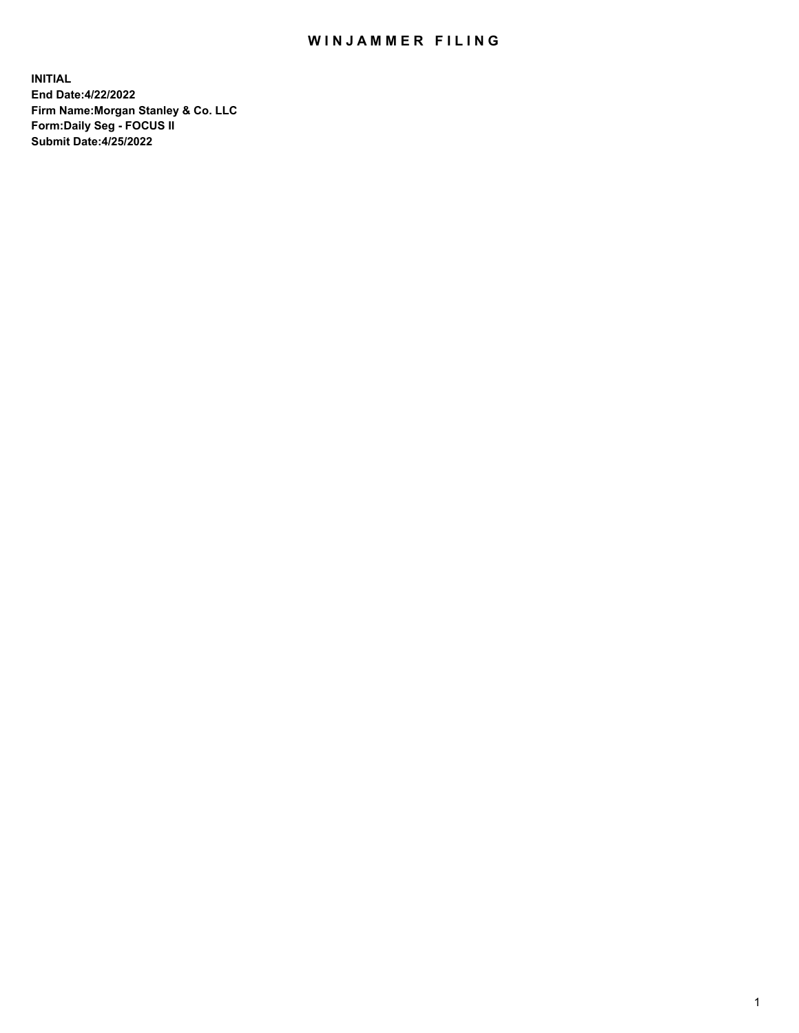## WIN JAMMER FILING

**INITIAL End Date:4/22/2022 Firm Name:Morgan Stanley & Co. LLC Form:Daily Seg - FOCUS II Submit Date:4/25/2022**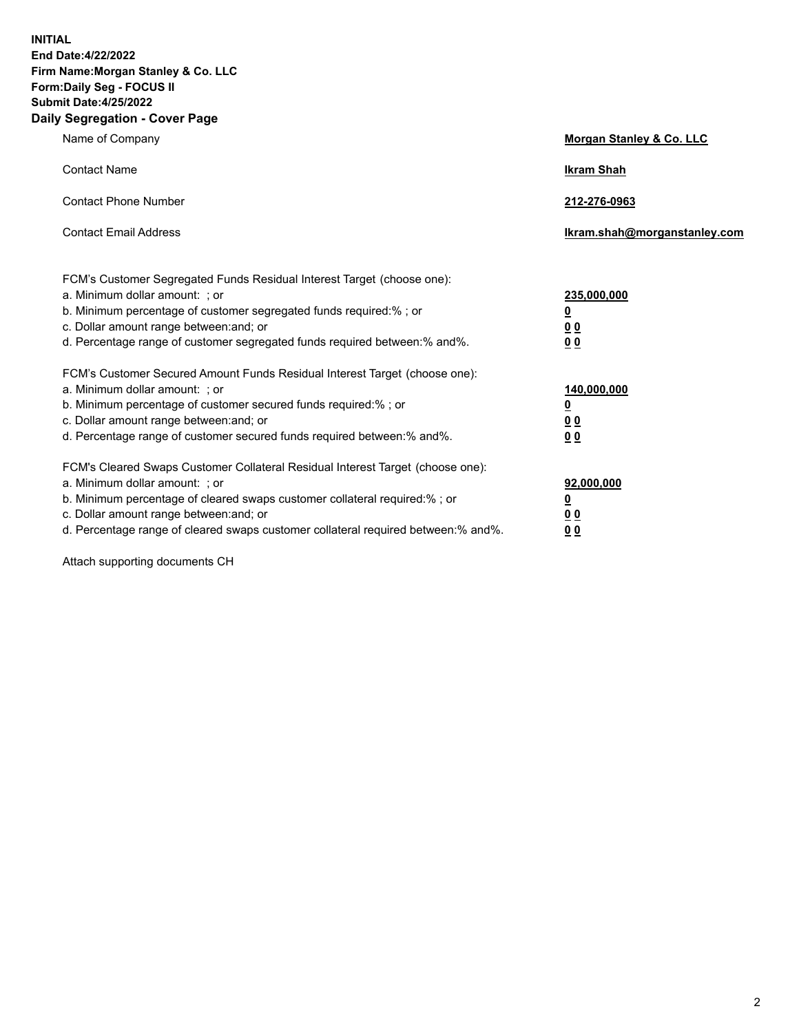**INITIAL End Date:4/22/2022 Firm Name:Morgan Stanley & Co. LLC Form:Daily Seg - FOCUS II Submit Date:4/25/2022 Daily Segregation - Cover Page**

| Name of Company                                                                                                                                                                                                                                                                                                                | Morgan Stanley & Co. LLC                                |
|--------------------------------------------------------------------------------------------------------------------------------------------------------------------------------------------------------------------------------------------------------------------------------------------------------------------------------|---------------------------------------------------------|
| <b>Contact Name</b>                                                                                                                                                                                                                                                                                                            | <b>Ikram Shah</b>                                       |
| <b>Contact Phone Number</b>                                                                                                                                                                                                                                                                                                    | 212-276-0963                                            |
| <b>Contact Email Address</b>                                                                                                                                                                                                                                                                                                   | Ikram.shah@morganstanley.com                            |
| FCM's Customer Segregated Funds Residual Interest Target (choose one):<br>a. Minimum dollar amount: ; or<br>b. Minimum percentage of customer segregated funds required:% ; or<br>c. Dollar amount range between: and; or<br>d. Percentage range of customer segregated funds required between:% and%.                         | 235,000,000<br><u>0</u><br><u>00</u><br><u>00</u>       |
| FCM's Customer Secured Amount Funds Residual Interest Target (choose one):<br>a. Minimum dollar amount: ; or<br>b. Minimum percentage of customer secured funds required:%; or<br>c. Dollar amount range between: and; or<br>d. Percentage range of customer secured funds required between:% and%.                            | 140,000,000<br><u>0</u><br><u>0 0</u><br>0 <sub>0</sub> |
| FCM's Cleared Swaps Customer Collateral Residual Interest Target (choose one):<br>a. Minimum dollar amount: ; or<br>b. Minimum percentage of cleared swaps customer collateral required:% ; or<br>c. Dollar amount range between: and; or<br>d. Percentage range of cleared swaps customer collateral required between:% and%. | 92,000,000<br><u>0</u><br><u>00</u><br>00               |

Attach supporting documents CH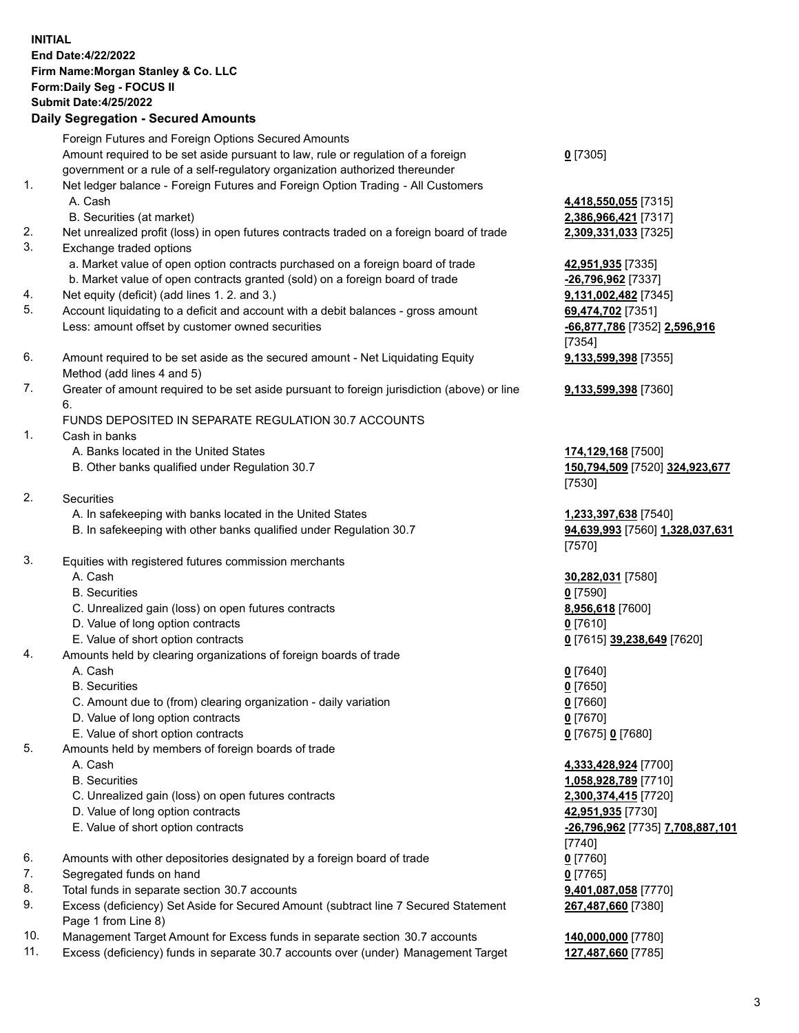## **INITIAL End Date:4/22/2022 Firm Name:Morgan Stanley & Co. LLC Form:Daily Seg - FOCUS II Submit Date:4/25/2022 Daily Segregation - Secured Amounts** Foreign Futures and Foreign Options Secured Amounts Amount required to be set aside pursuant to law, rule or regulation of a foreign government or a rule of a self-regulatory organization authorized thereunder **0** [7305] 1. Net ledger balance - Foreign Futures and Foreign Option Trading - All Customers A. Cash **4,418,550,055** [7315] B. Securities (at market) **2,386,966,421** [7317] 2. Net unrealized profit (loss) in open futures contracts traded on a foreign board of trade **2,309,331,033** [7325] 3. Exchange traded options a. Market value of open option contracts purchased on a foreign board of trade **42,951,935** [7335] b. Market value of open contracts granted (sold) on a foreign board of trade **-26,796,962** [7337] 4. Net equity (deficit) (add lines 1. 2. and 3.) **9,131,002,482** [7345] 5. Account liquidating to a deficit and account with a debit balances - gross amount **69,474,702** [7351] Less: amount offset by customer owned securities **-66,877,786** [7352] **2,596,916** [7354] 6. Amount required to be set aside as the secured amount - Net Liquidating Equity Method (add lines 4 and 5) **9,133,599,398** [7355] 7. Greater of amount required to be set aside pursuant to foreign jurisdiction (above) or line 6. **9,133,599,398** [7360] FUNDS DEPOSITED IN SEPARATE REGULATION 30.7 ACCOUNTS 1. Cash in banks A. Banks located in the United States **174,129,168** [7500] B. Other banks qualified under Regulation 30.7 **150,794,509** [7520] **324,923,677** [7530] 2. Securities A. In safekeeping with banks located in the United States **1,233,397,638** [7540] B. In safekeeping with other banks qualified under Regulation 30.7 **94,639,993** [7560] **1,328,037,631** [7570] 3. Equities with registered futures commission merchants A. Cash **30,282,031** [7580] B. Securities **0** [7590] C. Unrealized gain (loss) on open futures contracts **8,956,618** [7600] D. Value of long option contracts **0** [7610] E. Value of short option contracts **0** [7615] **39,238,649** [7620] 4. Amounts held by clearing organizations of foreign boards of trade A. Cash **0** [7640] B. Securities **0** [7650] C. Amount due to (from) clearing organization - daily variation **0** [7660] D. Value of long option contracts **0** [7670] E. Value of short option contracts **0** [7675] **0** [7680] 5. Amounts held by members of foreign boards of trade A. Cash **4,333,428,924** [7700] B. Securities **1,058,928,789** [7710] C. Unrealized gain (loss) on open futures contracts **2,300,374,415** [7720] D. Value of long option contracts **42,951,935** [7730] E. Value of short option contracts **-26,796,962** [7735] **7,708,887,101** [7740] 6. Amounts with other depositories designated by a foreign board of trade **0** [7760] 7. Segregated funds on hand **0** [7765] 8. Total funds in separate section 30.7 accounts **9,401,087,058** [7770] 9. Excess (deficiency) Set Aside for Secured Amount (subtract line 7 Secured Statement **267,487,660** [7380]

- Page 1 from Line 8) 10. Management Target Amount for Excess funds in separate section 30.7 accounts **140,000,000** [7780]
- 
- 11. Excess (deficiency) funds in separate 30.7 accounts over (under) Management Target **127,487,660** [7785]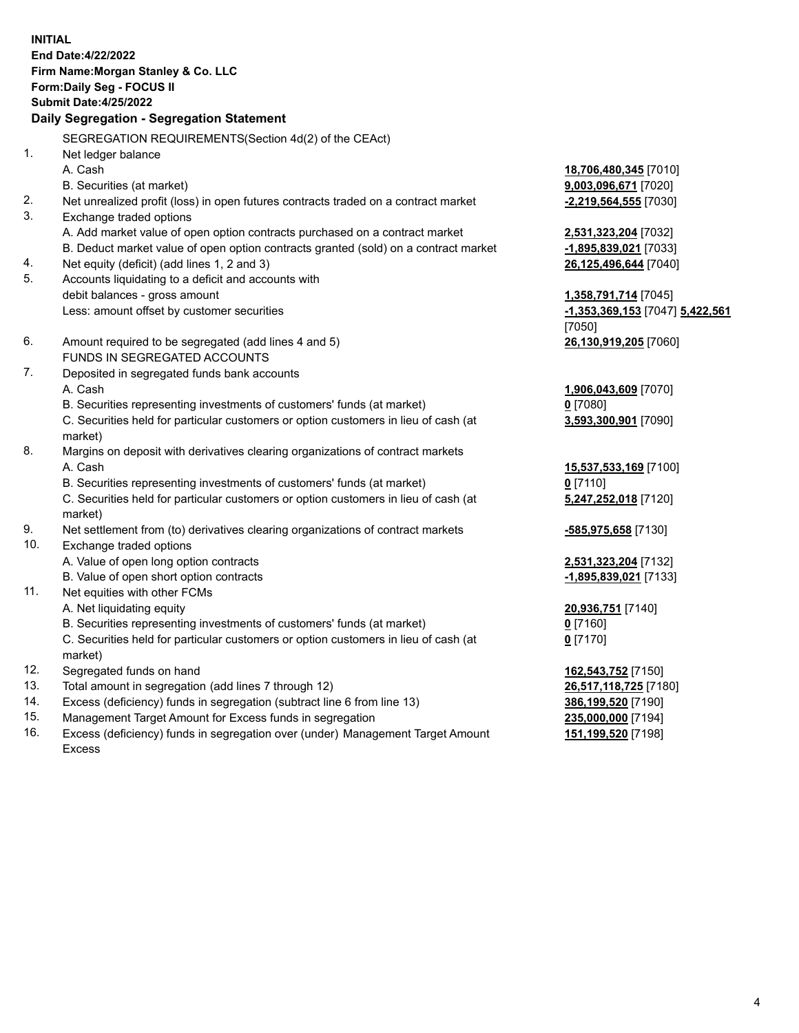**INITIAL End Date:4/22/2022 Firm Name:Morgan Stanley & Co. LLC Form:Daily Seg - FOCUS II Submit Date:4/25/2022 Daily Segregation - Segregation Statement** SEGREGATION REQUIREMENTS(Section 4d(2) of the CEAct) 1. Net ledger balance A. Cash **18,706,480,345** [7010] B. Securities (at market) **9,003,096,671** [7020] 2. Net unrealized profit (loss) in open futures contracts traded on a contract market **-2,219,564,555** [7030] 3. Exchange traded options A. Add market value of open option contracts purchased on a contract market **2,531,323,204** [7032] B. Deduct market value of open option contracts granted (sold) on a contract market **-1,895,839,021** [7033] 4. Net equity (deficit) (add lines 1, 2 and 3) **26,125,496,644** [7040] 5. Accounts liquidating to a deficit and accounts with debit balances - gross amount **1,358,791,714** [7045] Less: amount offset by customer securities **-1,353,369,153** [7047] **5,422,561** [7050] 6. Amount required to be segregated (add lines 4 and 5) **26,130,919,205** [7060] FUNDS IN SEGREGATED ACCOUNTS 7. Deposited in segregated funds bank accounts A. Cash **1,906,043,609** [7070] B. Securities representing investments of customers' funds (at market) **0** [7080] C. Securities held for particular customers or option customers in lieu of cash (at market) **3,593,300,901** [7090] 8. Margins on deposit with derivatives clearing organizations of contract markets A. Cash **15,537,533,169** [7100] B. Securities representing investments of customers' funds (at market) **0** [7110] C. Securities held for particular customers or option customers in lieu of cash (at market) **5,247,252,018** [7120] 9. Net settlement from (to) derivatives clearing organizations of contract markets **-585,975,658** [7130] 10. Exchange traded options A. Value of open long option contracts **2,531,323,204** [7132] B. Value of open short option contracts **-1,895,839,021** [7133] 11. Net equities with other FCMs A. Net liquidating equity **20,936,751** [7140] B. Securities representing investments of customers' funds (at market) **0** [7160] C. Securities held for particular customers or option customers in lieu of cash (at market) **0** [7170] 12. Segregated funds on hand **162,543,752** [7150] 13. Total amount in segregation (add lines 7 through 12) **26,517,118,725** [7180] 14. Excess (deficiency) funds in segregation (subtract line 6 from line 13) **386,199,520** [7190] 15. Management Target Amount for Excess funds in segregation **235,000,000** [7194] **151,199,520** [7198]

16. Excess (deficiency) funds in segregation over (under) Management Target Amount Excess